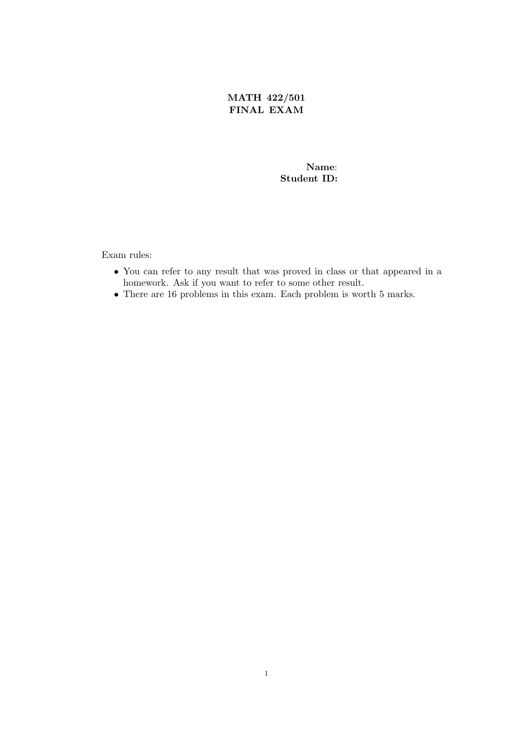MATH 422/501 FINAL EXAM

## Name: Student ID:

Exam rules:

- You can refer to any result that was proved in class or that appeared in a homework. Ask if you want to refer to some other result.
- There are 16 problems in this exam. Each problem is worth 5 marks.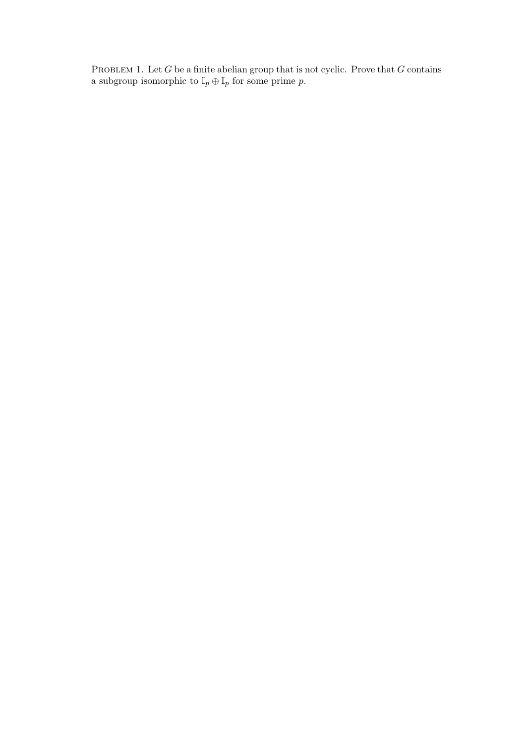PROBLEM 1. Let  $G$  be a finite abelian group that is not cyclic. Prove that  $G$  contains a subgroup isomorphic to  $\mathbb{I}_p \oplus \mathbb{I}_p$  for some prime p.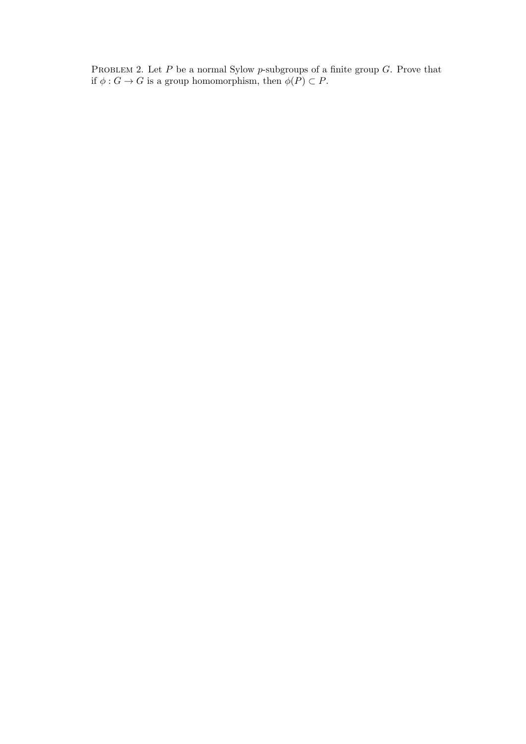PROBLEM 2. Let  $P$  be a normal Sylow  $p$ -subgroups of a finite group  $G$ . Prove that if  $\phi : G \to G$  is a group homomorphism, then  $\phi(P) \subset P$ .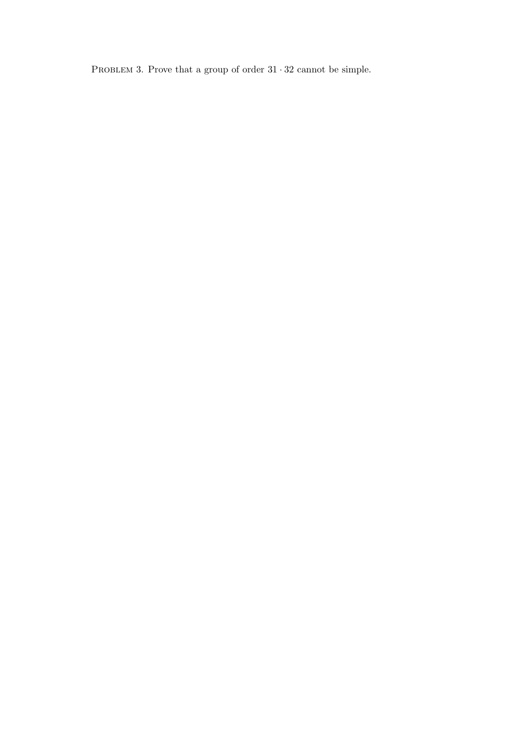PROBLEM 3. Prove that a group of order  $31\cdot 32$  cannot be simple.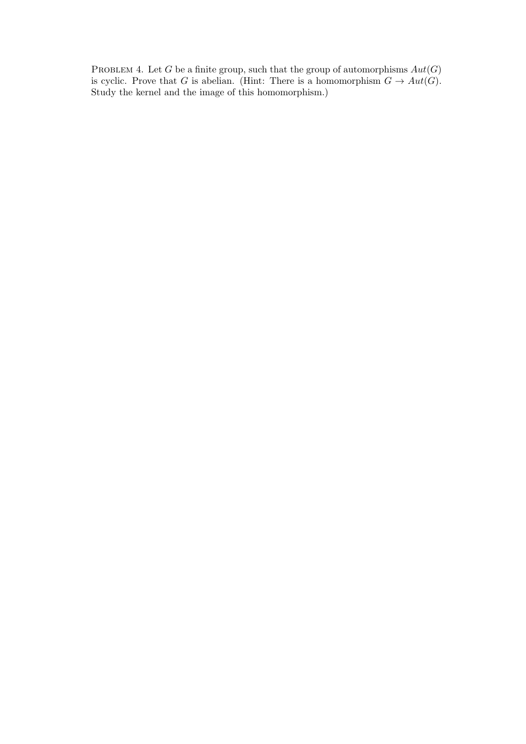PROBLEM 4. Let G be a finite group, such that the group of automorphisms  $Aut(G)$ is cyclic. Prove that G is abelian. (Hint: There is a homomorphism  $G \to Aut(G)$ . Study the kernel and the image of this homomorphism.)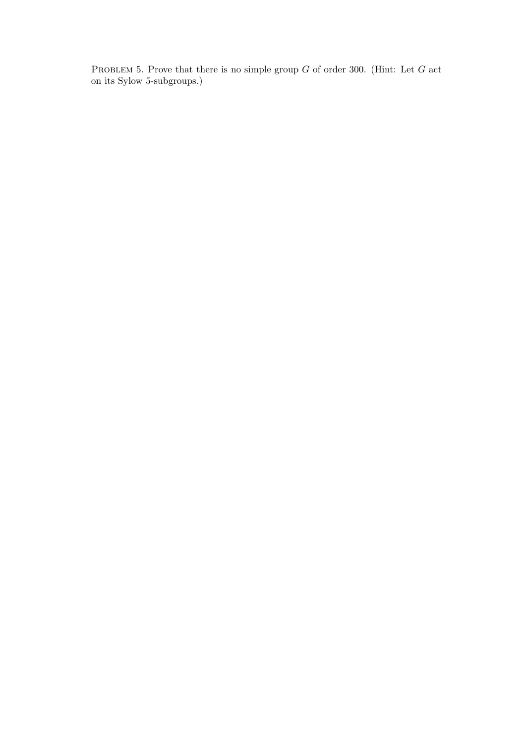PROBLEM 5. Prove that there is no simple group  $G$  of order 300. (Hint: Let  $G$  act on its Sylow 5-subgroups.)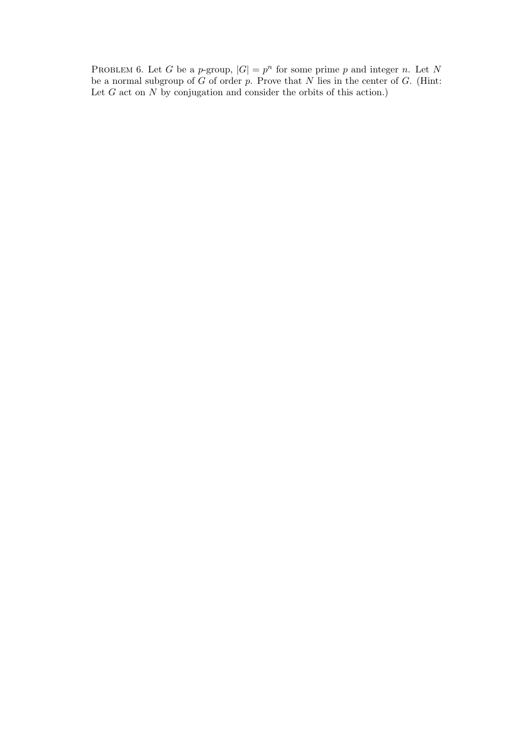PROBLEM 6. Let G be a p-group,  $|G| = p^n$  for some prime p and integer n. Let N be a normal subgroup of  $G$  of order p. Prove that  $N$  lies in the center of  $G$ . (Hint: Let  $G$  act on  $N$  by conjugation and consider the orbits of this action.)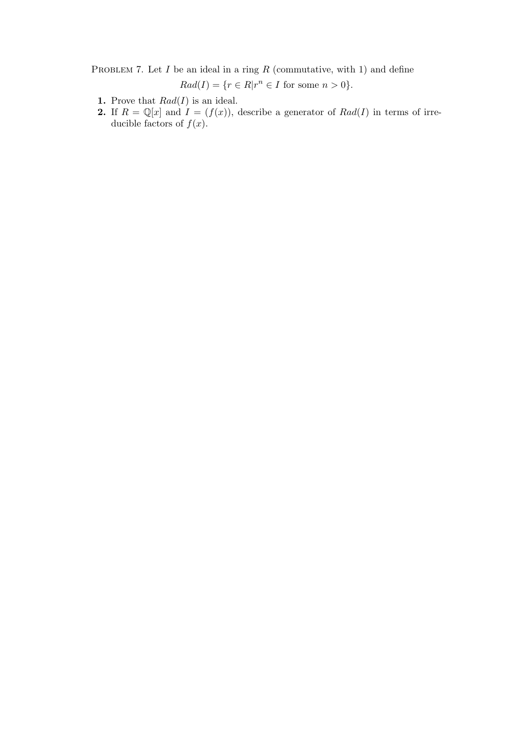PROBLEM 7. Let  $I$  be an ideal in a ring  $R$  (commutative, with 1) and define

 $Rad(I) = \{r \in R | r^n \in I \text{ for some } n > 0\}.$ 

- 1. Prove that  $Rad(I)$  is an ideal.
- 2. If  $R = \mathbb{Q}[x]$  and  $I = (f(x))$ , describe a generator of  $Rad(I)$  in terms of irreducible factors of  $f(x)$ .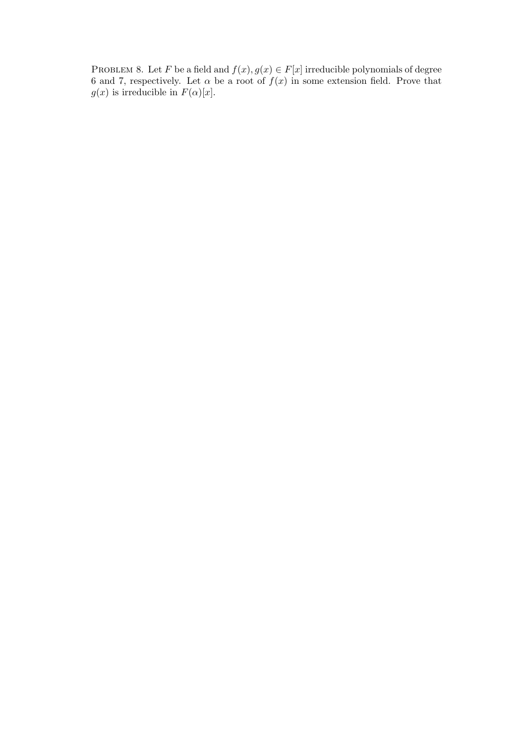PROBLEM 8. Let F be a field and  $f(x), g(x) \in F[x]$  irreducible polynomials of degree 6 and 7, respectively. Let  $\alpha$  be a root of  $f(x)$  in some extension field. Prove that  $g(x)$  is irreducible in  $F(\alpha)[x]$ .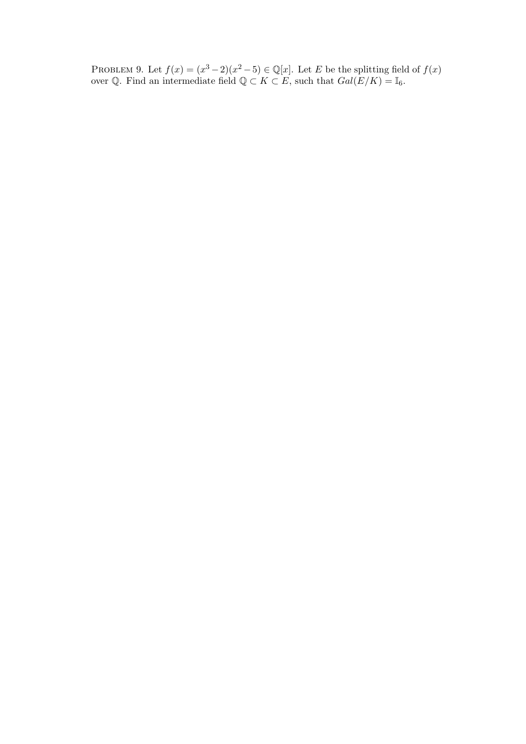PROBLEM 9. Let  $f(x) = (x^3 - 2)(x^2 - 5) \in \mathbb{Q}[x]$ . Let E be the splitting field of  $f(x)$ over Q. Find an intermediate field  $\mathbb{Q} \subset K \subset E$ , such that  $Gal(E/K) = \mathbb{I}_6$ .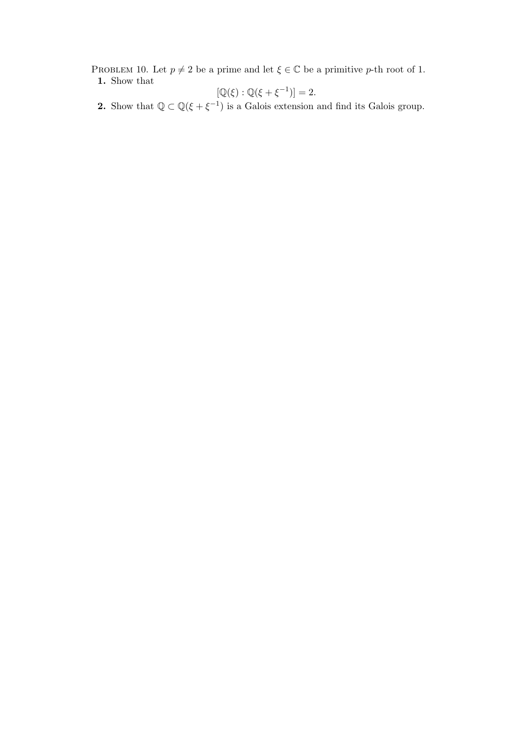PROBLEM 10. Let  $p \neq 2$  be a prime and let  $\xi \in \mathbb{C}$  be a primitive p-th root of 1. 1. Show that

$$
[\mathbb{Q}(\xi) : \mathbb{Q}(\xi + \xi^{-1})] = 2.
$$

**2.** Show that  $\mathbb{Q} \subset \mathbb{Q}(\xi + \xi^{-1})$  is a Galois extension and find its Galois group.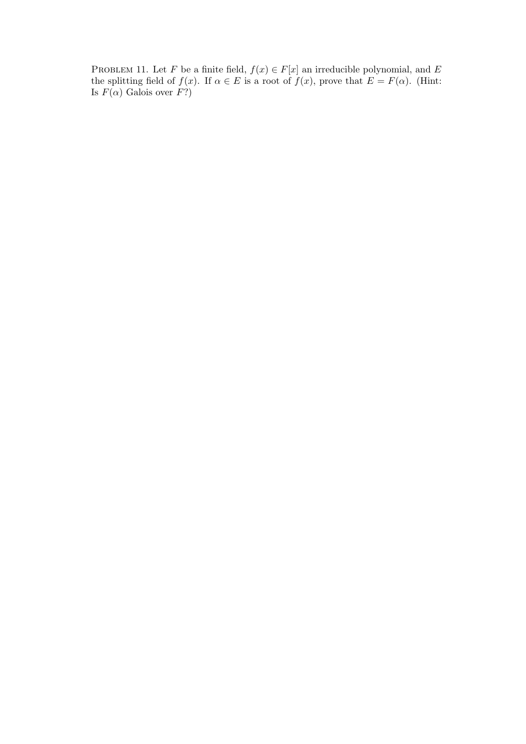PROBLEM 11. Let F be a finite field,  $f(x) \in F[x]$  an irreducible polynomial, and E the splitting field of  $f(x)$ . If  $\alpha \in E$  is a root of  $f(x)$ , prove that  $E = F(\alpha)$ . (Hint: Is  $F(\alpha)$  Galois over  $F$ ?)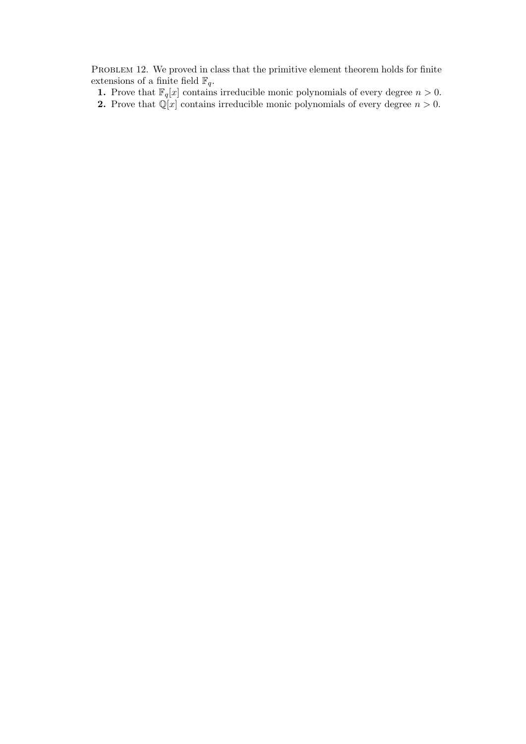PROBLEM 12. We proved in class that the primitive element theorem holds for finite extensions of a finite field  $\mathbb{F}_q$ .

1. Prove that  $\mathbb{F}_q[x]$  contains irreducible monic polynomials of every degree  $n > 0$ .

2. Prove that  $\mathbb{Q}[x]$  contains irreducible monic polynomials of every degree  $n > 0$ .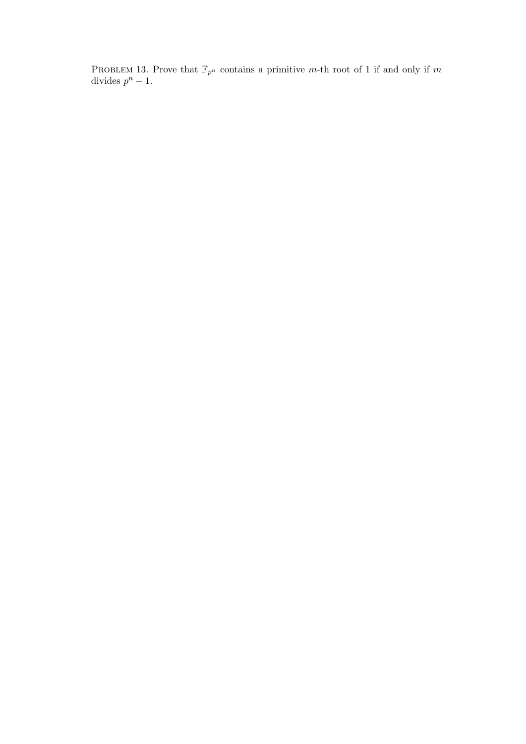PROBLEM 13. Prove that  $\mathbb{F}_{p^n}$  contains a primitive m-th root of 1 if and only if m divides  $p^{n} - 1$ .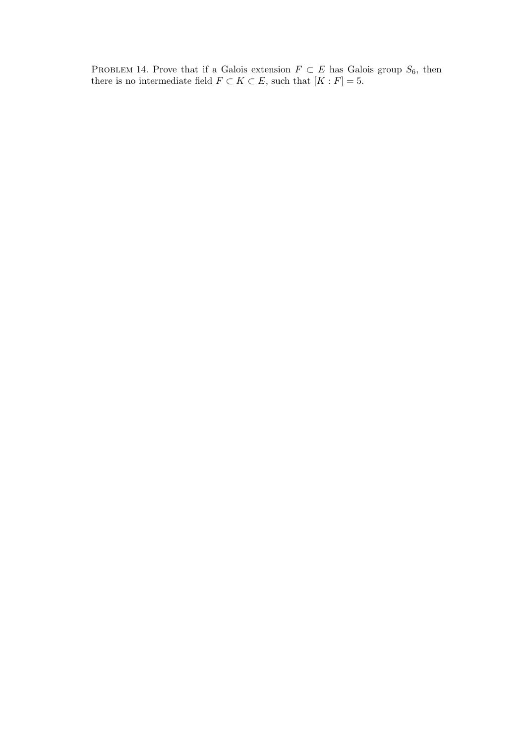PROBLEM 14. Prove that if a Galois extension  $F \subset E$  has Galois group  $S_6$ , then there is no intermediate field  $F \subset K \subset E$ , such that  $[K : F] = 5$ .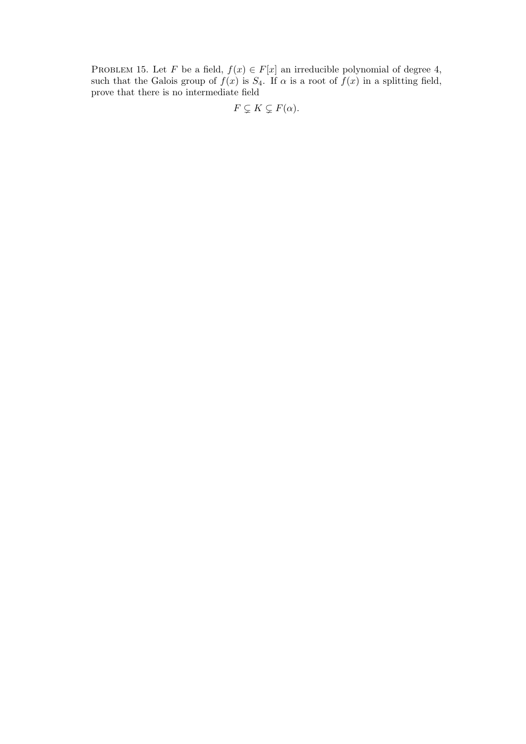PROBLEM 15. Let F be a field,  $f(x) \in F[x]$  an irreducible polynomial of degree 4, such that the Galois group of  $f(x)$  is  $S_4$ . If  $\alpha$  is a root of  $f(x)$  in a splitting field, prove that there is no intermediate field

$$
F \subsetneq K \subsetneq F(\alpha).
$$